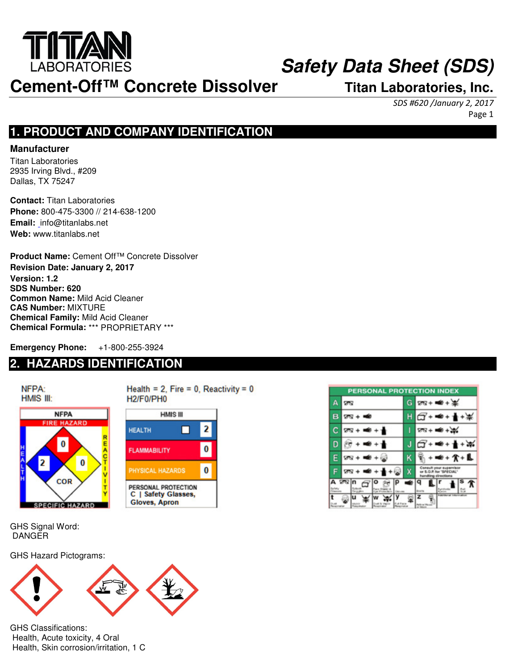

## **Safety Data Sheet (SDS)**

**Cement-Off™ Concrete Dissolver Titan Laboratories, Inc.**

SDS #620 /January 2, 2017 Page 1

## **1. PRODUCT AND COMPANY IDENTIFICATION**

#### **Manufacturer**

Titan Laboratories 2935 Irving Blvd., #209 Dallas, TX 75247

**Contact:** Titan Laboratories **Phone:** 800-475-3300 // 214-638-1200 **Email:** info@titanlabs.net **Web:** www.titanlabs.net

**Product Name:** Cement Off™ Concrete Dissolver **Revision Date: January 2, 2017 Version: 1.2 SDS Number: 620 Common Name:** Mild Acid Cleaner **CAS Number:** MIXTURE **Chemical Family:** Mild Acid Cleaner **Chemical Formula:** \*\*\* PROPRIETARY \*\*\*

**Emergency Phone:** +1-800-255-3924

## **2. HAZARDS IDENTIFICATION**



Health =  $2$ , Fire =  $0$ , Reactivity =  $0$ H<sub>2</sub>/F<sub>0</sub>/PH<sub>0</sub>



| <b>PERSONAL PROTECTION INDEX</b> |               |   |                                                                           |  |  |
|----------------------------------|---------------|---|---------------------------------------------------------------------------|--|--|
|                                  | 75            | G | $28 + 40 + 40$                                                            |  |  |
|                                  | $28 + 100$    |   | $T + 4 +$                                                                 |  |  |
|                                  | $28 + 40 + 1$ |   | $28 + 48 + 36$                                                            |  |  |
|                                  | $+ +$         |   | Q+ <del>=</del> + + * *                                                   |  |  |
| F.                               | $28 + 4 + 2$  | κ | <b>₩+A+L</b>                                                              |  |  |
|                                  | $28 + 12 + 1$ | x | Consult your supervisor<br>or 5.0.P. for "SPECIAL"<br>handling directions |  |  |
| A ⊠⊠ n<br>Alberton               |               |   |                                                                           |  |  |
|                                  |               |   |                                                                           |  |  |

GHS Signal Word: DANGER

GHS Hazard Pictograms:



GHS Classifications: Health, Acute toxicity, 4 Oral Health, Skin corrosion/irritation, 1 C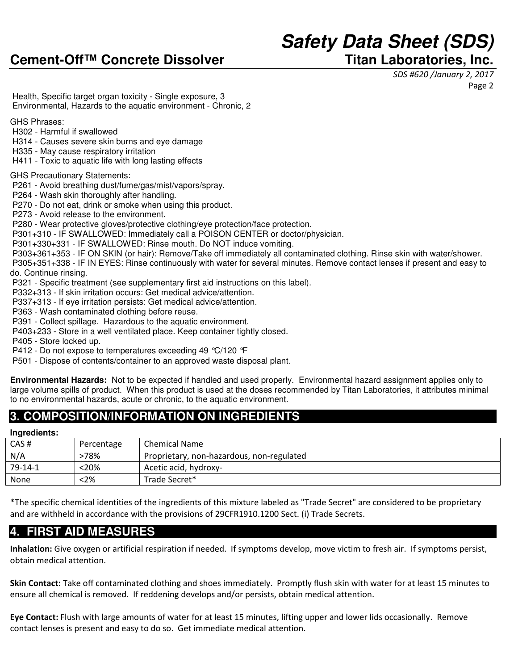## **Safety Data Sheet (SDS)**

SDS #620 /January 2, 2017 Page 2

 Health, Specific target organ toxicity - Single exposure, 3 Environmental, Hazards to the aquatic environment - Chronic, 2

GHS Phrases:

- H302 Harmful if swallowed
- H314 Causes severe skin burns and eye damage
- H335 May cause respiratory irritation
- H411 Toxic to aquatic life with long lasting effects

#### GHS Precautionary Statements:

- P261 Avoid breathing dust/fume/gas/mist/vapors/spray.
- P264 Wash skin thoroughly after handling.
- P270 Do not eat, drink or smoke when using this product.
- P273 Avoid release to the environment.

P280 - Wear protective gloves/protective clothing/eye protection/face protection.

P301+310 - IF SWALLOWED: Immediately call a POISON CENTER or doctor/physician.

P301+330+331 - IF SWALLOWED: Rinse mouth. Do NOT induce vomiting.

P303+361+353 - IF ON SKIN (or hair): Remove/Take off immediately all contaminated clothing. Rinse skin with water/shower.

 P305+351+338 - IF IN EYES: Rinse continuously with water for several minutes. Remove contact lenses if present and easy to do. Continue rinsing.

P321 - Specific treatment (see supplementary first aid instructions on this label).

P332+313 - If skin irritation occurs: Get medical advice/attention.

P337+313 - If eye irritation persists: Get medical advice/attention.

P363 - Wash contaminated clothing before reuse.

P391 - Collect spillage. Hazardous to the aquatic environment.

P403+233 - Store in a well ventilated place. Keep container tightly closed.

P405 - Store locked up.

P412 - Do not expose to temperatures exceeding 49 °C/120 °F

P501 - Dispose of contents/container to an approved waste disposal plant.

**Environmental Hazards:** Not to be expected if handled and used properly. Environmental hazard assignment applies only to large volume spills of product. When this product is used at the doses recommended by Titan Laboratories, it attributes minimal to no environmental hazards, acute or chronic, to the aquatic environment.

## **3. COMPOSITION/INFORMATION ON INGREDIENTS**

#### **Ingredients:**

| CAS#    | Percentage | <b>Chemical Name</b>                      |
|---------|------------|-------------------------------------------|
| N/A     | 78%>       | Proprietary, non-hazardous, non-regulated |
| 79-14-1 | <20%       | Acetic acid, hydroxy-                     |
| None    | $<$ 2%     | Trade Secret*                             |

\*The specific chemical identities of the ingredients of this mixture labeled as "Trade Secret" are considered to be proprietary and are withheld in accordance with the provisions of 29CFR1910.1200 Sect. (i) Trade Secrets.

## **4. FIRST AID MEASURES**

Inhalation: Give oxygen or artificial respiration if needed. If symptoms develop, move victim to fresh air. If symptoms persist, obtain medical attention.

Skin Contact: Take off contaminated clothing and shoes immediately. Promptly flush skin with water for at least 15 minutes to ensure all chemical is removed. If reddening develops and/or persists, obtain medical attention.

Eye Contact: Flush with large amounts of water for at least 15 minutes, lifting upper and lower lids occasionally. Remove contact lenses is present and easy to do so. Get immediate medical attention.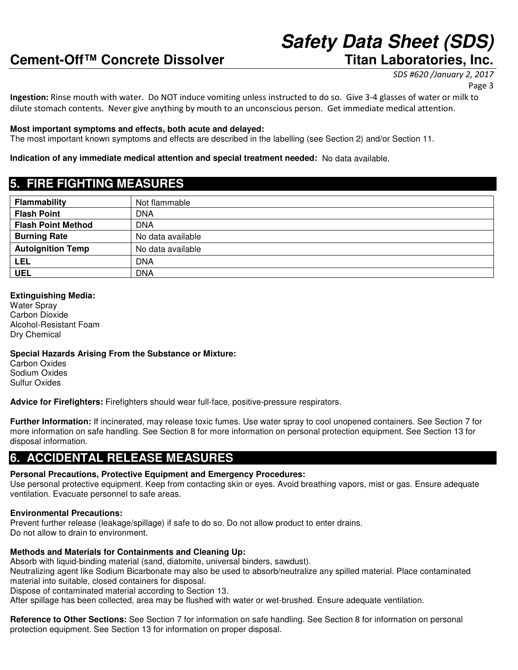# **Safety Data Sheet (SDS)**

SDS #620 /January 2, 2017

Ingestion: Rinse mouth with water. Do NOT induce vomiting unless instructed to do so. Give 3-4 glasses of water or milk to dilute stomach contents. Never give anything by mouth to an unconscious person. Get immediate medical attention.

#### **Most important symptoms and effects, both acute and delayed:**

The most important known symptoms and effects are described in the labelling (see Section 2) and/or Section 11.

#### **Indication of any immediate medical attention and special treatment needed:** No data available.

## **5. FIRE FIGHTING MEASURES**

| Flammability              | Not flammable     |
|---------------------------|-------------------|
| <b>Flash Point</b>        | <b>DNA</b>        |
| <b>Flash Point Method</b> | <b>DNA</b>        |
| <b>Burning Rate</b>       | No data available |
| <b>Autoignition Temp</b>  | No data available |
| LEL                       | <b>DNA</b>        |
| <b>UEL</b>                | <b>DNA</b>        |

#### **Extinguishing Media:**

Water Spray Carbon Dioxide Alcohol-Resistant Foam Dry Chemical

**Special Hazards Arising From the Substance or Mixture:**

Carbon Oxides Sodium Oxides Sulfur Oxides

**Advice for Firefighters:** Firefighters should wear full-face, positive-pressure respirators.

**Further Information:** If incinerated, may release toxic fumes. Use water spray to cool unopened containers. See Section 7 for more information on safe handling. See Section 8 for more information on personal protection equipment. See Section 13 for disposal information.

## **6. ACCIDENTAL RELEASE MEASURES**

#### **Personal Precautions, Protective Equipment and Emergency Procedures:**

Use personal protective equipment. Keep from contacting skin or eyes. Avoid breathing vapors, mist or gas. Ensure adequate ventilation. Evacuate personnel to safe areas.

#### **Environmental Precautions:**

Prevent further release (leakage/spillage) if safe to do so. Do not allow product to enter drains. Do not allow to drain to environment.

#### **Methods and Materials for Containments and Cleaning Up:**

Absorb with liquid-binding material (sand, diatomite, universal binders, sawdust).

Neutralizing agent like Sodium Bicarbonate may also be used to absorb/neutralize any spilled material. Place contaminated material into suitable, closed containers for disposal.

Dispose of contaminated material according to Section 13.

After spillage has been collected, area may be flushed with water or wet-brushed. Ensure adequate ventilation.

**Reference to Other Sections:** See Section 7 for information on safe handling. See Section 8 for information on personal protection equipment. See Section 13 for information on proper disposal.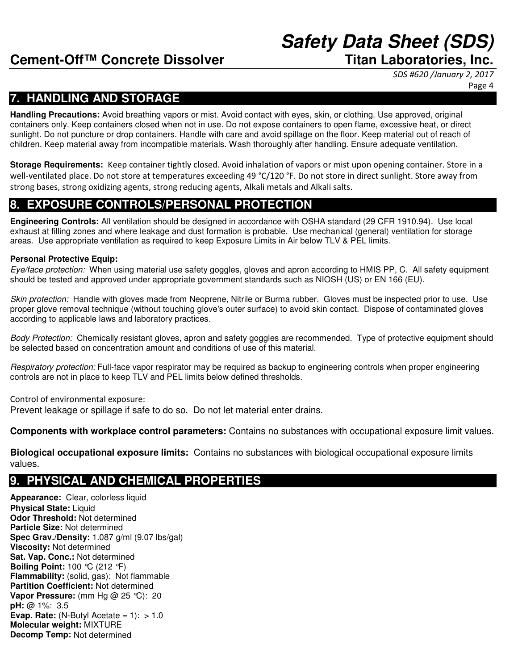## **Safety Data Sheet (SDS)**

SDS #620 /January 2, 2017 Page 4

## **7. HANDLING AND STORAGE**

**Handling Precautions:** Avoid breathing vapors or mist. Avoid contact with eyes, skin, or clothing. Use approved, original containers only. Keep containers closed when not in use. Do not expose containers to open flame, excessive heat, or direct sunlight. Do not puncture or drop containers. Handle with care and avoid spillage on the floor. Keep material out of reach of children. Keep material away from incompatible materials. Wash thoroughly after handling. Ensure adequate ventilation.

**Storage Requirements:** Keep container tightly closed. Avoid inhalation of vapors or mist upon opening container. Store in a well-ventilated place. Do not store at temperatures exceeding 49 °C/120 °F. Do not store in direct sunlight. Store away from strong bases, strong oxidizing agents, strong reducing agents, Alkali metals and Alkali salts.

## **8. EXPOSURE CONTROLS/PERSONAL PROTECTION**

**Engineering Controls:** All ventilation should be designed in accordance with OSHA standard (29 CFR 1910.94). Use local exhaust at filling zones and where leakage and dust formation is probable. Use mechanical (general) ventilation for storage areas. Use appropriate ventilation as required to keep Exposure Limits in Air below TLV & PEL limits.

#### **Personal Protective Equip:**

Eye/face protection: When using material use safety goggles, gloves and apron according to HMIS PP, C. All safety equipment should be tested and approved under appropriate government standards such as NIOSH (US) or EN 166 (EU).

Skin protection: Handle with gloves made from Neoprene, Nitrile or Burma rubber. Gloves must be inspected prior to use. Use proper glove removal technique (without touching glove's outer surface) to avoid skin contact. Dispose of contaminated gloves according to applicable laws and laboratory practices.

Body Protection: Chemically resistant gloves, apron and safety goggles are recommended. Type of protective equipment should be selected based on concentration amount and conditions of use of this material.

Respiratory protection: Full-face vapor respirator may be required as backup to engineering controls when proper engineering controls are not in place to keep TLV and PEL limits below defined thresholds.

Control of environmental exposure: Prevent leakage or spillage if safe to do so. Do not let material enter drains.

**Components with workplace control parameters:** Contains no substances with occupational exposure limit values.

**Biological occupational exposure limits:** Contains no substances with biological occupational exposure limits values.

## **9. PHYSICAL AND CHEMICAL PROPERTIES**

**Appearance:** Clear, colorless liquid **Physical State: Liquid Odor Threshold:** Not determined **Particle Size:** Not determined **Spec Grav./Density:** 1.087 g/ml (9.07 lbs/gal) **Viscosity:** Not determined **Sat. Vap. Conc.:** Not determined **Boiling Point:** 100 °C (212 °F) **Flammability:** (solid, gas): Not flammable **Partition Coefficient:** Not determined **Vapor Pressure:** (mm Hg @ 25 °C): 20 **pH:** @ 1%: 3.5 **Evap. Rate:**  $(N$ -Butyl Acetate =  $1$ ):  $> 1.0$ **Molecular weight:** MIXTURE **Decomp Temp:** Not determined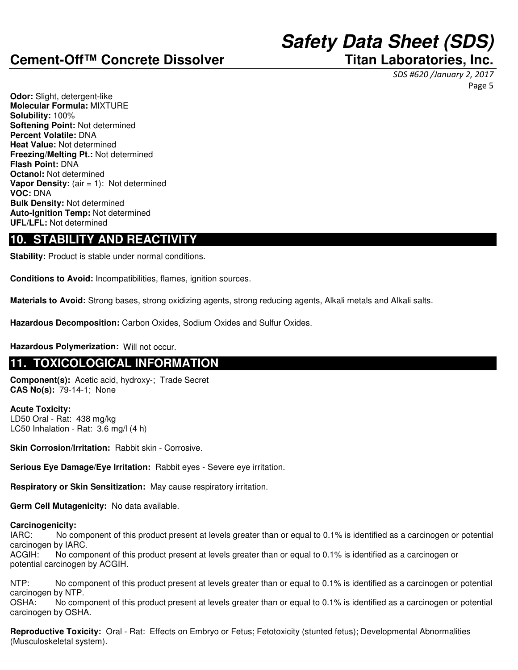## **Safety Data Sheet (SDS)**

SDS #620 /January 2, 2017 Page 5

**Odor:** Slight, detergent-like **Molecular Formula:** MIXTURE **Solubility:** 100% **Softening Point:** Not determined **Percent Volatile:** DNA **Heat Value:** Not determined **Freezing/Melting Pt.:** Not determined **Flash Point:** DNA **Octanol:** Not determined **Vapor Density:** (air = 1): Not determined **VOC:** DNA **Bulk Density:** Not determined **Auto-Ignition Temp:** Not determined **UFL/LFL:** Not determined

## **10. STABILITY AND REACTIVITY**

**Stability:** Product is stable under normal conditions.

**Conditions to Avoid:** Incompatibilities, flames, ignition sources.

**Materials to Avoid:** Strong bases, strong oxidizing agents, strong reducing agents, Alkali metals and Alkali salts.

**Hazardous Decomposition:** Carbon Oxides, Sodium Oxides and Sulfur Oxides.

**Hazardous Polymerization:** Will not occur.

## **11. TOXICOLOGICAL INFORMATION**

**Component(s):** Acetic acid, hydroxy-; Trade Secret **CAS No(s):** 79-14-1; None

**Acute Toxicity:** LD50 Oral - Rat: 438 mg/kg LC50 Inhalation - Rat: 3.6 mg/l (4 h)

**Skin Corrosion/Irritation:** Rabbit skin - Corrosive.

**Serious Eye Damage/Eye Irritation:** Rabbit eyes - Severe eye irritation.

**Respiratory or Skin Sensitization:** May cause respiratory irritation.

**Germ Cell Mutagenicity:** No data available.

### **Carcinogenicity:**

IARC: No component of this product present at levels greater than or equal to 0.1% is identified as a carcinogen or potential carcinogen by IARC.

ACGIH: No component of this product present at levels greater than or equal to 0.1% is identified as a carcinogen or potential carcinogen by ACGIH.

NTP: No component of this product present at levels greater than or equal to 0.1% is identified as a carcinogen or potential carcinogen by NTP.

OSHA: No component of this product present at levels greater than or equal to 0.1% is identified as a carcinogen or potential carcinogen by OSHA.

**Reproductive Toxicity:** Oral - Rat: Effects on Embryo or Fetus; Fetotoxicity (stunted fetus); Developmental Abnormalities (Musculoskeletal system).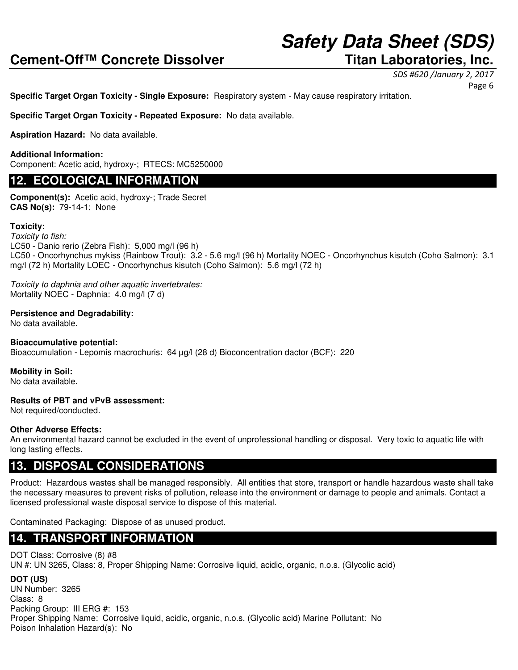## **Safety Data Sheet (SDS)**

SDS #620 /January 2, 2017

Page 6

**Specific Target Organ Toxicity - Single Exposure:** Respiratory system - May cause respiratory irritation.

**Specific Target Organ Toxicity - Repeated Exposure:** No data available.

**Aspiration Hazard:** No data available.

#### **Additional Information:**

Component: Acetic acid, hydroxy-; RTECS: MC5250000

### **12. ECOLOGICAL INFORMATION**

**Component(s):** Acetic acid, hydroxy-; Trade Secret **CAS No(s):** 79-14-1; None

#### **Toxicity:**

Toxicity to fish: LC50 - Danio rerio (Zebra Fish): 5,000 mg/l (96 h) LC50 - Oncorhynchus mykiss (Rainbow Trout): 3.2 - 5.6 mg/l (96 h) Mortality NOEC - Oncorhynchus kisutch (Coho Salmon): 3.1 mg/l (72 h) Mortality LOEC - Oncorhynchus kisutch (Coho Salmon): 5.6 mg/l (72 h)

Toxicity to daphnia and other aquatic invertebrates: Mortality NOEC - Daphnia: 4.0 mg/l (7 d)

#### **Persistence and Degradability:**

No data available.

#### **Bioaccumulative potential:**

Bioaccumulation - Lepomis macrochuris: 64 µg/l (28 d) Bioconcentration dactor (BCF): 220

**Mobility in Soil:** No data available.

#### **Results of PBT and vPvB assessment:**

Not required/conducted.

#### **Other Adverse Effects:**

An environmental hazard cannot be excluded in the event of unprofessional handling or disposal. Very toxic to aquatic life with long lasting effects.

## **13. DISPOSAL CONSIDERATIONS**

Product: Hazardous wastes shall be managed responsibly. All entities that store, transport or handle hazardous waste shall take the necessary measures to prevent risks of pollution, release into the environment or damage to people and animals. Contact a licensed professional waste disposal service to dispose of this material.

Contaminated Packaging: Dispose of as unused product.

## **14. TRANSPORT INFORMATION**

### DOT Class: Corrosive (8) #8 UN #: UN 3265, Class: 8, Proper Shipping Name: Corrosive liquid, acidic, organic, n.o.s. (Glycolic acid)

**DOT (US)** UN Number: 3265 Class: 8 Packing Group: III ERG #: 153 Proper Shipping Name: Corrosive liquid, acidic, organic, n.o.s. (Glycolic acid) Marine Pollutant: No Poison Inhalation Hazard(s): No